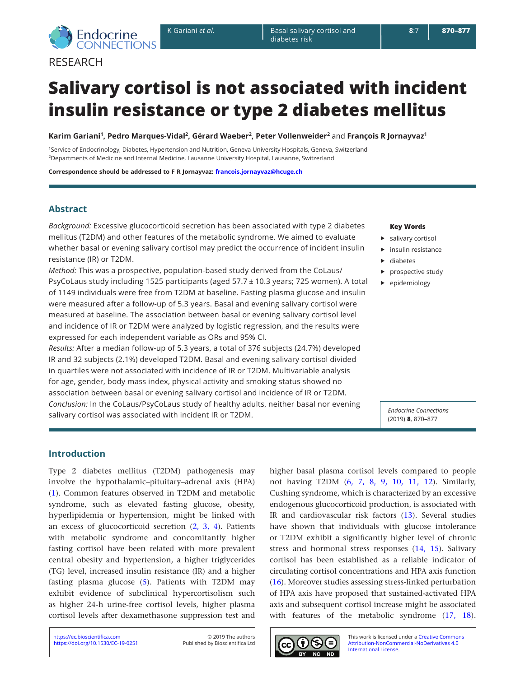

**RESEARCH** 

# **Salivary cortisol is not associated with incident insulin resistance or type 2 diabetes mellitus**

**Karim Gariani<sup>1</sup>, Pedro Marques-Vidal<sup>2</sup>, Gérard Waeber<sup>2</sup>, Peter Vollenweider<sup>2</sup>** and **François R Jornayvaz<sup>1</sup>**

1Service of Endocrinology, Diabetes, Hypertension and Nutrition, Geneva University Hospitals, Geneva, Switzerland 2Departments of Medicine and Internal Medicine, Lausanne University Hospital, Lausanne, Switzerland

**Correspondence should be addressed to F R Jornayvaz: [francois.jornayvaz@hcuge.ch](mailto:francois.jornayvaz@hcuge.ch)**

### **Abstract**

*Background:* Excessive glucocorticoid secretion has been associated with type 2 diabetes mellitus (T2DM) and other features of the metabolic syndrome. We aimed to evaluate whether basal or evening salivary cortisol may predict the occurrence of incident insulin resistance (IR) or T2DM.

*Method:* This was a prospective, population-based study derived from the CoLaus/ PsyCoLaus study including 1525 participants (aged 57.7 ± 10.3 years; 725 women). A total of 1149 individuals were free from T2DM at baseline. Fasting plasma glucose and insulin were measured after a follow-up of 5.3 years. Basal and evening salivary cortisol were measured at baseline. The association between basal or evening salivary cortisol level and incidence of IR or T2DM were analyzed by logistic regression, and the results were expressed for each independent variable as ORs and 95% CI.

*Results:* After a median follow-up of 5.3 years, a total of 376 subjects (24.7%) developed IR and 32 subjects (2.1%) developed T2DM. Basal and evening salivary cortisol divided in quartiles were not associated with incidence of IR or T2DM. Multivariable analysis for age, gender, body mass index, physical activity and smoking status showed no association between basal or evening salivary cortisol and incidence of IR or T2DM. *Conclusion:* In the CoLaus/PsyCoLaus study of healthy adults, neither basal nor evening salivary cortisol was associated with incident IR or T2DM.

#### **Key Words**

- $\blacktriangleright$  salivary cortisol
- $\blacktriangleright$  insulin resistance
- $\blacktriangleright$  diabetes
- $\blacktriangleright$  prospective study
- $\blacktriangleright$  epidemiology

*Endocrine Connections* (2019) **8**, 870–877

higher basal plasma cortisol levels compared to people not having T2DM ([6,](#page-7-0) [7](#page-7-1), [8](#page-7-2), [9,](#page-7-3) [10](#page-7-4), [11,](#page-7-5) [12](#page-7-6)). Similarly, Cushing syndrome, which is characterized by an excessive endogenous glucocorticoid production, is associated with IR and cardiovascular risk factors [\(13](#page-7-7)). Several studies have shown that individuals with glucose intolerance or T2DM exhibit a significantly higher level of chronic stress and hormonal stress responses [\(14](#page-7-8), [15](#page-7-9)). Salivary cortisol has been established as a reliable indicator of circulating cortisol concentrations and HPA axis function ([16](#page-7-10)). Moreover studies assessing stress-linked perturbation of HPA axis have proposed that sustained-activated HPA axis and subsequent cortisol increase might be associated with features of the metabolic syndrome  $(17, 18)$  $(17, 18)$  $(17, 18)$ .

# **Introduction**

Type 2 diabetes mellitus (T2DM) pathogenesis may involve the hypothalamic–pituitary–adrenal axis (HPA) ([1](#page-6-0)). Common features observed in T2DM and metabolic syndrome, such as elevated fasting glucose, obesity, hyperlipidemia or hypertension, might be linked with an excess of glucocorticoid secretion ([2,](#page-6-1) [3](#page-6-2), [4](#page-6-3)). Patients with metabolic syndrome and concomitantly higher fasting cortisol have been related with more prevalent central obesity and hypertension, a higher triglycerides (TG) level, increased insulin resistance (IR) and a higher fasting plasma glucose [\(5](#page-6-4)). Patients with T2DM may exhibit evidence of subclinical hypercortisolism such as higher 24-h urine-free cortisol levels, higher plasma cortisol levels after dexamethasone suppression test and

<https://doi.org/10.1530/EC-19-0251> <https://ec.bioscientifica.com> © 2019 The authors

Published by Bioscientifica Ltd

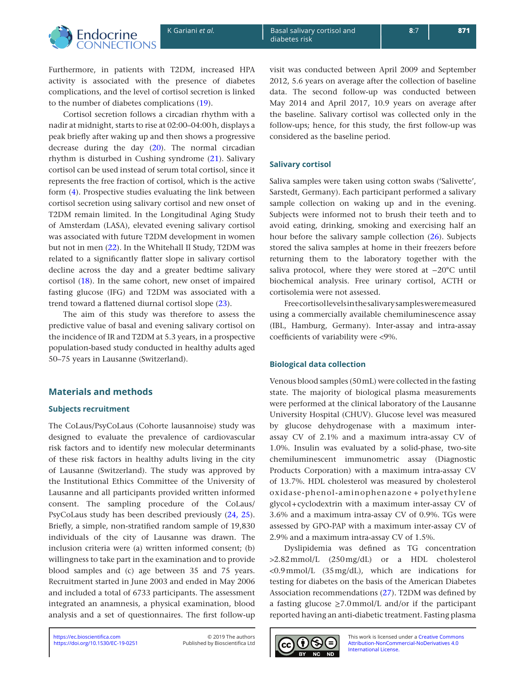

Furthermore, in patients with T2DM, increased HPA activity is associated with the presence of diabetes complications, and the level of cortisol secretion is linked to the number of diabetes complications ([19\)](#page-7-13).

Cortisol secretion follows a circadian rhythm with a nadir at midnight, starts to rise at 02:00–04:00h, displays a peak briefly after waking up and then shows a progressive decrease during the day [\(20\)](#page-7-14). The normal circadian rhythm is disturbed in Cushing syndrome [\(21](#page-7-15)). Salivary cortisol can be used instead of serum total cortisol, since it represents the free fraction of cortisol, which is the active form [\(4\)](#page-6-3). Prospective studies evaluating the link between cortisol secretion using salivary cortisol and new onset of T2DM remain limited. In the Longitudinal Aging Study of Amsterdam (LASA), elevated evening salivary cortisol was associated with future T2DM development in women but not in men ([22](#page-7-16)). In the Whitehall II Study, T2DM was related to a significantly flatter slope in salivary cortisol decline across the day and a greater bedtime salivary cortisol [\(18\)](#page-7-12). In the same cohort, new onset of impaired fasting glucose (IFG) and T2DM was associated with a trend toward a flattened diurnal cortisol slope ([23](#page-7-17)).

The aim of this study was therefore to assess the predictive value of basal and evening salivary cortisol on the incidence of IR and T2DM at 5.3 years, in a prospective population-based study conducted in healthy adults aged 50–75 years in Lausanne (Switzerland).

# **Materials and methods**

#### **Subjects recruitment**

The CoLaus/PsyCoLaus (Cohorte lausannoise) study was designed to evaluate the prevalence of cardiovascular risk factors and to identify new molecular determinants of these risk factors in healthy adults living in the city of Lausanne (Switzerland). The study was approved by the Institutional Ethics Committee of the University of Lausanne and all participants provided written informed consent. The sampling procedure of the CoLaus/ PsyCoLaus study has been described previously [\(24,](#page-7-18) [25\)](#page-7-19). Briefly, a simple, non-stratified random sample of 19,830 individuals of the city of Lausanne was drawn. The inclusion criteria were (a) written informed consent; (b) willingness to take part in the examination and to provide blood samples and (c) age between 35 and 75 years. Recruitment started in June 2003 and ended in May 2006 and included a total of 6733 participants. The assessment integrated an anamnesis, a physical examination, blood analysis and a set of questionnaires. The first follow-up

visit was conducted between April 2009 and September 2012, 5.6 years on average after the collection of baseline data. The second follow-up was conducted between May 2014 and April 2017, 10.9 years on average after the baseline. Salivary cortisol was collected only in the follow-ups; hence, for this study, the first follow-up was considered as the baseline period.

## **Salivary cortisol**

Saliva samples were taken using cotton swabs ('Salivette', Sarstedt, Germany). Each participant performed a salivary sample collection on waking up and in the evening. Subjects were informed not to brush their teeth and to avoid eating, drinking, smoking and exercising half an hour before the salivary sample collection ([26](#page-7-20)). Subjects stored the saliva samples at home in their freezers before returning them to the laboratory together with the saliva protocol, where they were stored at −20°C until biochemical analysis. Free urinary cortisol, ACTH or cortisolemia were not assessed.

Free cortisol levels in the salivary samples were measured using a commercially available chemiluminescence assay (IBL, Hamburg, Germany). Inter-assay and intra-assay coefficients of variability were <9%.

# **Biological data collection**

Venous blood samples (50mL) were collected in the fasting state. The majority of biological plasma measurements were performed at the clinical laboratory of the Lausanne University Hospital (CHUV). Glucose level was measured by glucose dehydrogenase with a maximum interassay CV of 2.1% and a maximum intra-assay CV of 1.0%. Insulin was evaluated by a solid-phase, two-site chemiluminescent immunometric assay (Diagnostic Products Corporation) with a maximum intra-assay CV of 13.7%. HDL cholesterol was measured by cholesterol oxidase-phenol-aminophenazone + polyethylene glycol+cyclodextrin with a maximum inter-assay CV of 3.6% and a maximum intra-assay CV of 0.9%. TGs were assessed by GPO-PAP with a maximum inter-assay CV of 2.9% and a maximum intra-assay CV of 1.5%.

Dyslipidemia was defined as TG concentration >2.82mmol/L (250mg/dL) or a HDL cholesterol <0.9mmol/L (35mg/dL), which are indications for testing for diabetes on the basis of the American Diabetes Association recommendations ([27\)](#page-7-21). T2DM was defined by a fasting glucose  $\geq$ 7.0mmol/L and/or if the participant reported having an anti-diabetic treatment. Fasting plasma

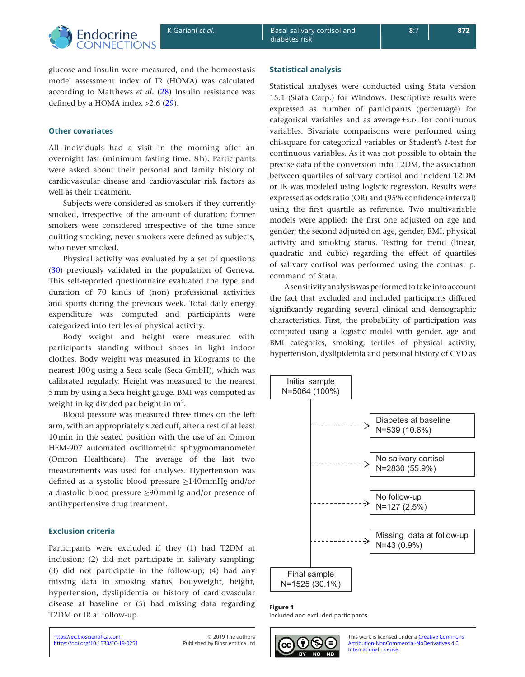<span id="page-2-0"></span>

glucose and insulin were measured, and the homeostasis model assessment index of IR (HOMA) was calculated according to Matthews *et al*. ([28](#page-7-22)) Insulin resistance was defined by a HOMA index >2.6 ([29](#page-7-23)).

# **Other covariates**

All individuals had a visit in the morning after an overnight fast (minimum fasting time: 8h). Participants were asked about their personal and family history of cardiovascular disease and cardiovascular risk factors as well as their treatment.

Subjects were considered as smokers if they currently smoked, irrespective of the amount of duration; former smokers were considered irrespective of the time since quitting smoking; never smokers were defined as subjects, who never smoked.

Physical activity was evaluated by a set of questions ([30](#page-7-24)) previously validated in the population of Geneva. This self-reported questionnaire evaluated the type and duration of 70 kinds of (non) professional activities and sports during the previous week. Total daily energy expenditure was computed and participants were categorized into tertiles of physical activity.

Body weight and height were measured with participants standing without shoes in light indoor clothes. Body weight was measured in kilograms to the nearest 100g using a Seca scale (Seca GmbH), which was calibrated regularly. Height was measured to the nearest 5mm by using a Seca height gauge. BMI was computed as weight in kg divided par height in  $m^2$ .

Blood pressure was measured three times on the left arm, with an appropriately sized cuff, after a rest of at least 10min in the seated position with the use of an Omron HEM-907 automated oscillometric sphygmomanometer (Omron Healthcare). The average of the last two measurements was used for analyses. Hypertension was defined as a systolic blood pressure ≥140mmHg and/or a diastolic blood pressure ≥90mmHg and/or presence of antihypertensive drug treatment.

# **Exclusion criteria**

Participants were excluded if they [\(1](#page-6-0)) had T2DM at inclusion; [\(2](#page-6-1)) did not participate in salivary sampling; ([3](#page-6-2)) did not participate in the follow-up; [\(4](#page-6-3)) had any missing data in smoking status, bodyweight, height, hypertension, dyslipidemia or history of cardiovascular disease at baseline or ([5\)](#page-6-4) had missing data regarding T2DM or IR at follow-up.

# **Statistical analysis**

Statistical analyses were conducted using Stata version 15.1 (Stata Corp.) for Windows. Descriptive results were expressed as number of participants (percentage) for categorical variables and as average $\pm$ s.p. for continuous variables. Bivariate comparisons were performed using chi-square for categorical variables or Student's *t*-test for continuous variables. As it was not possible to obtain the precise data of the conversion into T2DM, the association between quartiles of salivary cortisol and incident T2DM or IR was modeled using logistic regression. Results were expressed as odds ratio (OR) and (95% confidence interval) using the first quartile as reference. Two multivariable models were applied: the first one adjusted on age and gender; the second adjusted on age, gender, BMI, physical activity and smoking status. Testing for trend (linear, quadratic and cubic) regarding the effect of quartiles of salivary cortisol was performed using the contrast p. command of Stata.

A sensitivity analysis was performed to take into account the fact that excluded and included participants differed significantly regarding several clinical and demographic characteristics. First, the probability of participation was computed using a logistic model with gender, age and BMI categories, smoking, tertiles of physical activity, hypertension, dyslipidemia and personal history of CVD as



#### **Figure 1**

Included and excluded participants.

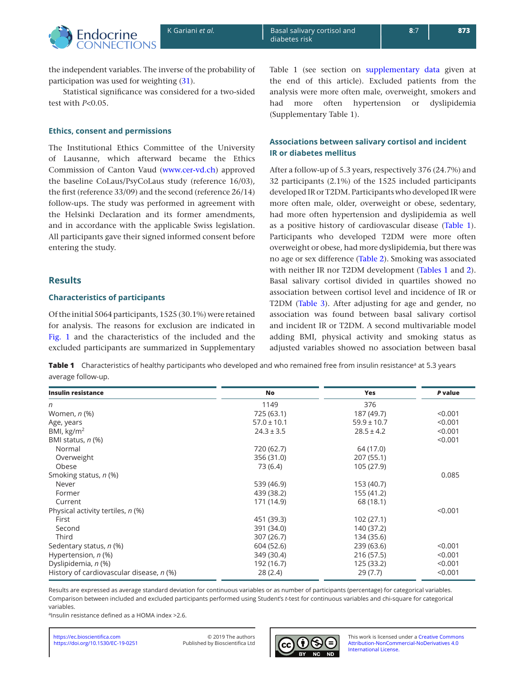

the independent variables. The inverse of the probability of participation was used for weighting [\(31](#page-7-25)).

Statistical significance was considered for a two-sided test with *P*<0.05.

# **Ethics, consent and permissions**

The Institutional Ethics Committee of the University of Lausanne, which afterward became the Ethics Commission of Canton Vaud ([www.cer-vd.ch\)](www.cer-vd.ch) approved the baseline CoLaus/PsyCoLaus study (reference 16/03), the first (reference 33/09) and the second (reference 26/14) follow-ups. The study was performed in agreement with the Helsinki Declaration and its former amendments, and in accordance with the applicable Swiss legislation. All participants gave their signed informed consent before entering the study.

## **Results**

#### **Characteristics of participants**

Of the initial 5064 participants, 1525 (30.1%) were retained for analysis. The reasons for exclusion are indicated in [Fig. 1](#page-2-0) and the characteristics of the included and the excluded participants are summarized in Supplementary Table 1 (see section on [supplementary data](#page-6-5) given at the end of this article). Excluded patients from the analysis were more often male, overweight, smokers and had more often hypertension or dyslipidemia (Supplementary Table 1).

# **Associations between salivary cortisol and incident IR or diabetes mellitus**

After a follow-up of 5.3 years, respectively 376 (24.7%) and 32 participants (2.1%) of the 1525 included participants developed IR or T2DM. Participants who developed IR were more often male, older, overweight or obese, sedentary, had more often hypertension and dyslipidemia as well as a positive history of cardiovascular disease (Table 1). Participants who developed T2DM were more often overweight or obese, had more dyslipidemia, but there was no age or sex difference ([Table 2](#page-4-0)). Smoking was associated with neither IR nor T2DM development (Tables 1 and [2\)](#page-4-0). Basal salivary cortisol divided in quartiles showed no association between cortisol level and incidence of IR or T2DM (Table 3). After adjusting for age and gender, no association was found between basal salivary cortisol and incident IR or T2DM. A second multivariable model adding BMI, physical activity and smoking status as adjusted variables showed no association between basal

**Table 1** Characteristics of healthy participants who developed and who remained free from insulin resistance<sup>a</sup> at 5.3 years average follow-up.

| <b>Insulin resistance</b>                | No              | Yes             | P value |
|------------------------------------------|-----------------|-----------------|---------|
| n                                        | 1149            | 376             |         |
| Women, <i>n</i> (%)                      | 725 (63.1)      | 187 (49.7)      | < 0.001 |
| Age, years                               | $57.0 \pm 10.1$ | $59.9 \pm 10.7$ | < 0.001 |
| BMI, $\text{kg/m}^2$                     | $24.3 \pm 3.5$  | $28.5 \pm 4.2$  | < 0.001 |
| BMI status, $n$ (%)                      |                 |                 | < 0.001 |
| Normal                                   | 720 (62.7)      | 64 (17.0)       |         |
| Overweight                               | 356 (31.0)      | 207 (55.1)      |         |
| Obese                                    | 73 (6.4)        | 105 (27.9)      |         |
| Smoking status, n (%)                    |                 |                 | 0.085   |
| Never                                    | 539 (46.9)      | 153 (40.7)      |         |
| Former                                   | 439 (38.2)      | 155 (41.2)      |         |
| Current                                  | 171 (14.9)      | 68 (18.1)       |         |
| Physical activity tertiles, n (%)        |                 |                 | < 0.001 |
| First                                    | 451 (39.3)      | 102(27.1)       |         |
| Second                                   | 391 (34.0)      | 140 (37.2)      |         |
| Third                                    | 307 (26.7)      | 134 (35.6)      |         |
| Sedentary status, n (%)                  | 604 (52.6)      | 239 (63.6)      | < 0.001 |
| Hypertension, n (%)                      | 349 (30.4)      | 216 (57.5)      | < 0.001 |
| Dyslipidemia, n (%)                      | 192 (16.7)      | 125 (33.2)      | < 0.001 |
| History of cardiovascular disease, n (%) | 28(2.4)         | 29(7.7)         | < 0.001 |

Results are expressed as average standard deviation for continuous variables or as number of participants (percentage) for categorical variables. Comparison between included and excluded participants performed using Student's *t*-test for continuous variables and chi-square for categorical variables.

<sup>a</sup>Insulin resistance defined as a HOMA index >2.6.

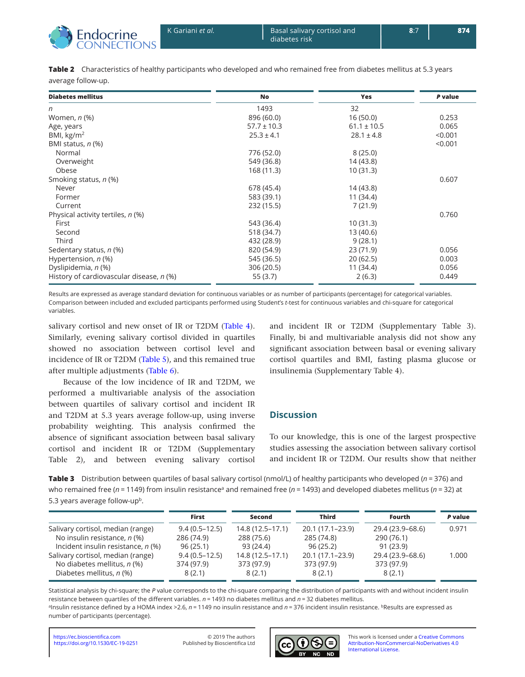<span id="page-4-0"></span>

| Table 2 Characteristics of healthy participants who developed and who remained free from diabetes mellitus at 5.3 years |
|-------------------------------------------------------------------------------------------------------------------------|
| average follow-up.                                                                                                      |

| <b>Diabetes mellitus</b>                 | No              | <b>Yes</b>      | P value |
|------------------------------------------|-----------------|-----------------|---------|
| n                                        | 1493            | 32              |         |
| Women, <i>n</i> (%)                      | 896 (60.0)      | 16(50.0)        | 0.253   |
| Age, years                               | $57.7 \pm 10.3$ | $61.1 \pm 10.5$ | 0.065   |
| BMI, $\text{kg/m}^2$                     | $25.3 \pm 4.1$  | $28.1 \pm 4.8$  | < 0.001 |
| BMI status, n (%)                        |                 |                 | < 0.001 |
| Normal                                   | 776 (52.0)      | 8(25.0)         |         |
| Overweight                               | 549 (36.8)      | 14 (43.8)       |         |
| Obese                                    | 168 (11.3)      | 10(31.3)        |         |
| Smoking status, n (%)                    |                 |                 | 0.607   |
| Never                                    | 678 (45.4)      | 14 (43.8)       |         |
| Former                                   | 583 (39.1)      | 11 (34.4)       |         |
| Current                                  | 232 (15.5)      | 7(21.9)         |         |
| Physical activity tertiles, n (%)        |                 |                 | 0.760   |
| First                                    | 543 (36.4)      | 10(31.3)        |         |
| Second                                   | 518 (34.7)      | 13(40.6)        |         |
| Third                                    | 432 (28.9)      | 9(28.1)         |         |
| Sedentary status, n (%)                  | 820 (54.9)      | 23(71.9)        | 0.056   |
| Hypertension, n (%)                      | 545 (36.5)      | 20(62.5)        | 0.003   |
| Dyslipidemia, n (%)                      | 306 (20.5)      | 11(34.4)        | 0.056   |
| History of cardiovascular disease, n (%) | 55(3.7)         | 2(6.3)          | 0.449   |

Results are expressed as average standard deviation for continuous variables or as number of participants (percentage) for categorical variables. Comparison between included and excluded participants performed using Student's *t*-test for continuous variables and chi-square for categorical variables.

salivary cortisol and new onset of IR or T2DM [\(Table 4\)](#page-5-0). Similarly, evening salivary cortisol divided in quartiles showed no association between cortisol level and incidence of IR or T2DM ([Table 5](#page-5-0)), and this remained true after multiple adjustments [\(Table 6](#page-6-5)).

and incident IR or T2DM (Supplementary Table 3). Finally, bi and multivariable analysis did not show any significant association between basal or evening salivary cortisol quartiles and BMI, fasting plasma glucose or insulinemia (Supplementary Table 4).

performed a multivariable analysis of the association between quartiles of salivary cortisol and incident IR and T2DM at 5.3 years average follow-up, using inverse probability weighting. This analysis confirmed the absence of significant association between basal salivary cortisol and incident IR or T2DM (Supplementary Table 2), and between evening salivary cortisol

Because of the low incidence of IR and T2DM, we

# **Discussion**

To our knowledge, this is one of the largest prospective studies assessing the association between salivary cortisol and incident IR or T2DM. Our results show that neither

**Table 3** Distribution between quartiles of basal salivary cortisol (nmol/L) of healthy participants who developed (*n* = 376) and who remained free (*n* = 1149) from insulin resistance<sup>a</sup> and remained free (*n* = 1493) and developed diabetes mellitus (*n* = 32) at 5.3 years average follow-up<sup>b</sup>.

|                                    | First             | Second           | <b>Third</b>     | <b>Fourth</b>    | P value |
|------------------------------------|-------------------|------------------|------------------|------------------|---------|
| Salivary cortisol, median (range)  | $9.4(0.5 - 12.5)$ | 14.8 (12.5–17.1) | 20.1 (17.1–23.9) | 29.4 (23.9–68.6) | 0.971   |
| No insulin resistance, n (%)       | 286 (74.9)        | 288 (75.6)       | 285 (74.8)       | 290 (76.1)       |         |
| Incident insulin resistance, n (%) | 96(25.1)          | 93 (24.4)        | 96(25.2)         | 91(23.9)         |         |
| Salivary cortisol, median (range)  | $9.4(0.5 - 12.5)$ | 14.8 (12.5–17.1) | 20.1 (17.1-23.9) | 29.4 (23.9-68.6) | 1.000   |
| No diabetes mellitus, $n$ (%)      | 374 (97.9)        | 373 (97.9)       | 373 (97.9)       | 373 (97.9)       |         |
| Diabetes mellitus, n (%)           | 8(2.1)            | 8(2.1)           | 8(2.1)           | 8(2.1)           |         |

Statistical analysis by chi-square; the *P* value corresponds to the chi-square comparing the distribution of participants with and without incident insulin resistance between quartiles of the different variables. *n* = 1493 no diabetes mellitus and *n* = 32 diabetes mellitus. aInsulin resistance defined by a HOMA index >2.6, *n* = 1149 no insulin resistance and *n* = 376 incident insulin resistance. <sup>b</sup>Results are expressed as

number of participants (percentage).

Published by Bioscientifica Ltd

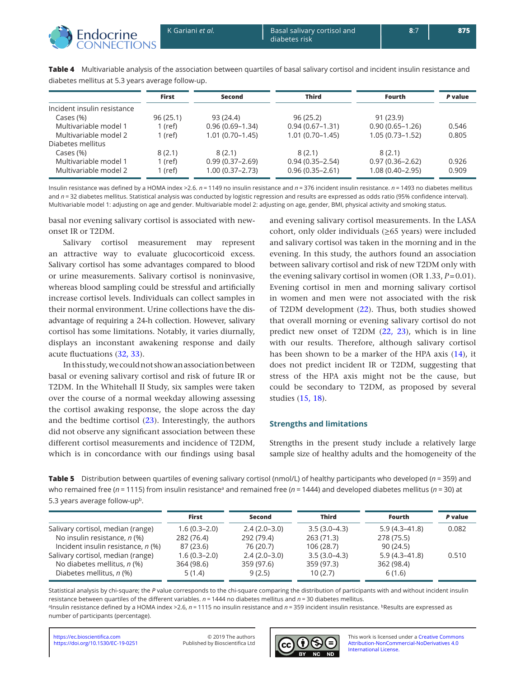<span id="page-5-0"></span>

|                             | <b>First</b> | Second              | <b>Third</b>        | <b>Fourth</b>       | P value |
|-----------------------------|--------------|---------------------|---------------------|---------------------|---------|
| Incident insulin resistance |              |                     |                     |                     |         |
| Cases (%)                   | 96(25.1)     | 93 (24.4)           | 96(25.2)            | 91(23.9)            |         |
| Multivariable model 1       | $1$ (ref)    | $0.96(0.69 - 1.34)$ | $0.94(0.67 - 1.31)$ | $0.90(0.65 - 1.26)$ | 0.546   |
| Multivariable model 2       | 1 (ref)      | $1.01(0.70-1.45)$   | $1.01(0.70 - 1.45)$ | $1.05(0.73 - 1.52)$ | 0.805   |
| Diabetes mellitus           |              |                     |                     |                     |         |
| Cases (%)                   | 8(2.1)       | 8(2.1)              | 8(2.1)              | 8(2.1)              |         |
| Multivariable model 1       | $1$ (ref)    | $0.99(0.37 - 2.69)$ | $0.94(0.35 - 2.54)$ | $0.97(0.36 - 2.62)$ | 0.926   |
| Multivariable model 2       | 1 (ref)      | $1.00(0.37 - 2.73)$ | $0.96(0.35 - 2.61)$ | $1.08(0.40 - 2.95)$ | 0.909   |

**Table 4** Multivariable analysis of the association between quartiles of basal salivary cortisol and incident insulin resistance and diabetes mellitus at 5.3 years average follow-up.

Insulin resistance was defined by a HOMA index >2.6. *n* = 1149 no insulin resistance and *n* = 376 incident insulin resistance. *n* = 1493 no diabetes mellitus and  $n = 32$  diabetes mellitus. Statistical analysis was conducted by logistic regression and results are expressed as odds ratio (95% confidence interval). Multivariable model 1: adjusting on age and gender. Multivariable model 2: adjusting on age, gender, BMI, physical activity and smoking status.

basal nor evening salivary cortisol is associated with newonset IR or T2DM.

Salivary cortisol measurement may represent an attractive way to evaluate glucocorticoid excess. Salivary cortisol has some advantages compared to blood or urine measurements. Salivary cortisol is noninvasive, whereas blood sampling could be stressful and artificially increase cortisol levels. Individuals can collect samples in their normal environment. Urine collections have the disadvantage of requiring a 24-h collection. However, salivary cortisol has some limitations. Notably, it varies diurnally, displays an inconstant awakening response and daily acute fluctuations [\(32,](#page-7-26) [33](#page-7-27)).

In this study, we could not show an association between basal or evening salivary cortisol and risk of future IR or T2DM. In the Whitehall II Study, six samples were taken over the course of a normal weekday allowing assessing the cortisol awaking response, the slope across the day and the bedtime cortisol ([23\)](#page-7-17). Interestingly, the authors did not observe any significant association between these different cortisol measurements and incidence of T2DM, which is in concordance with our findings using basal

and evening salivary cortisol measurements. In the LASA cohort, only older individuals  $(\geq 65$  years) were included and salivary cortisol was taken in the morning and in the evening. In this study, the authors found an association between salivary cortisol and risk of new T2DM only with the evening salivary cortisol in women (OR 1.33, *P*=0.01). Evening cortisol in men and morning salivary cortisol in women and men were not associated with the risk of T2DM development ([22](#page-7-16)). Thus, both studies showed that overall morning or evening salivary cortisol do not predict new onset of T2DM ([22](#page-7-16), [23\)](#page-7-17), which is in line with our results. Therefore, although salivary cortisol has been shown to be a marker of the HPA axis ([14\)](#page-7-8), it does not predict incident IR or T2DM, suggesting that stress of the HPA axis might not be the cause, but could be secondary to T2DM, as proposed by several studies ([15](#page-7-9), [18\)](#page-7-12).

#### **Strengths and limitations**

Strengths in the present study include a relatively large sample size of healthy adults and the homogeneity of the

**Table 5** Distribution between quartiles of evening salivary cortisol (nmol/L) of healthy participants who developed (*n* = 359) and who remained free (*n* = 1115) from insulin resistance<sup>a</sup> and remained free (*n* = 1444) and developed diabetes mellitus (*n* = 30) at 5.3 years average follow-up<sup>b</sup>.

|                                    | <b>First</b>   | Second         | <b>Third</b>   | <b>Fourth</b>     | P value |
|------------------------------------|----------------|----------------|----------------|-------------------|---------|
| Salivary cortisol, median (range)  | $1.6(0.3-2.0)$ | $2.4(2.0-3.0)$ | $3.5(3.0-4.3)$ | $5.9(4.3 - 41.8)$ | 0.082   |
| No insulin resistance, n (%)       | 282 (76.4)     | 292 (79.4)     | 263(71.3)      | 278 (75.5)        |         |
| Incident insulin resistance, n (%) | 87 (23.6)      | 76 (20.7)      | 106(28.7)      | 90(24.5)          |         |
| Salivary cortisol, median (range)  | $1.6(0.3-2.0)$ | $2.4(2.0-3.0)$ | $3.5(3.0-4.3)$ | $5.9(4.3 - 41.8)$ | 0.510   |
| No diabetes mellitus, $n$ (%)      | 364 (98.6)     | 359 (97.6)     | 359 (97.3)     | 362 (98.4)        |         |
| Diabetes mellitus, n (%)           | 5(1.4)         | 9(2.5)         | 10(2.7)        | 6(1.6)            |         |

Statistical analysis by chi-square; the *P* value corresponds to the chi-square comparing the distribution of participants with and without incident insulin resistance between quartiles of the different variables. *n* = 1444 no diabetes mellitus and *n* = 30 diabetes mellitus. aInsulin resistance defined by a HOMA index >2.6, *n* = 1115 no insulin resistance and *n* = 359 incident insulin resistance. <sup>b</sup>Results are expressed as number of participants (percentage).

<https://doi.org/10.1530/EC-19-0251> <https://ec.bioscientifica.com> © 2019 The authors

Published by Bioscientifica Ltd

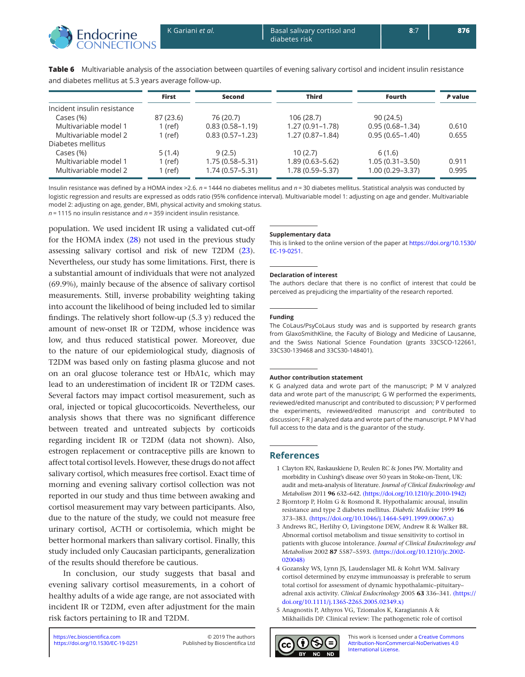<span id="page-6-5"></span>

|                             | <b>First</b> | Second              | <b>Third</b>        | Fourth              | P value |
|-----------------------------|--------------|---------------------|---------------------|---------------------|---------|
| Incident insulin resistance |              |                     |                     |                     |         |
| Cases (%)                   | 87 (23.6)    | 76 (20.7)           | 106 (28.7)          | 90(24.5)            |         |
| Multivariable model 1       | 1 (ref)      | $0.83(0.58 - 1.19)$ | $1.27(0.91 - 1.78)$ | $0.95(0.68-1.34)$   | 0.610   |
| Multivariable model 2       | 1 (ref)      | $0.83(0.57-1.23)$   | $1.27(0.87-1.84)$   | $0.95(0.65 - 1.40)$ | 0.655   |
| Diabetes mellitus           |              |                     |                     |                     |         |
| Cases (%)                   | 5(1.4)       | 9(2.5)              | 10(2.7)             | 6(1.6)              |         |
| Multivariable model 1       | $1$ (ref)    | $1.75(0.58 - 5.31)$ | $1.89(0.63 - 5.62)$ | $1.05(0.31 - 3.50)$ | 0.911   |
| Multivariable model 2       | 1 (ref)      | $1.74(0.57 - 5.31)$ | 1.78 (0.59-5.37)    | $1.00(0.29 - 3.37)$ | 0.995   |

**Table 6** Multivariable analysis of the association between quartiles of evening salivary cortisol and incident insulin resistance and diabetes mellitus at 5.3 years average follow-up.

Insulin resistance was defined by a HOMA index >2.6. *n* = 1444 no diabetes mellitus and *n* = 30 diabetes mellitus. Statistical analysis was conducted by logistic regression and results are expressed as odds ratio (95% confidence interval). Multivariable model 1: adjusting on age and gender. Multivariable model 2: adjusting on age, gender, BMI, physical activity and smoking status.

*n* = 1115 no insulin resistance and *n* = 359 incident insulin resistance.

population. We used incident IR using a validated cut-off for the HOMA index [\(28](#page-7-22)) not used in the previous study assessing salivary cortisol and risk of new T2DM ([23\)](#page-7-17). Nevertheless, our study has some limitations. First, there is a substantial amount of individuals that were not analyzed (69.9%), mainly because of the absence of salivary cortisol measurements. Still, inverse probability weighting taking into account the likelihood of being included led to similar findings. The relatively short follow-up (5.3 y) reduced the amount of new-onset IR or T2DM, whose incidence was low, and thus reduced statistical power. Moreover, due to the nature of our epidemiological study, diagnosis of T2DM was based only on fasting plasma glucose and not on an oral glucose tolerance test or HbA1c, which may lead to an underestimation of incident IR or T2DM cases. Several factors may impact cortisol measurement, such as oral, injected or topical glucocorticoids. Nevertheless, our analysis shows that there was no significant difference between treated and untreated subjects by corticoids regarding incident IR or T2DM (data not shown). Also, estrogen replacement or contraceptive pills are known to affect total cortisol levels. However, these drugs do not affect salivary cortisol, which measures free cortisol. Exact time of morning and evening salivary cortisol collection was not reported in our study and thus time between awaking and cortisol measurement may vary between participants. Also, due to the nature of the study, we could not measure free urinary cortisol, ACTH or cortisolemia, which might be better hormonal markers than salivary cortisol. Finally, this study included only Caucasian participants, generalization of the results should therefore be cautious.

In conclusion, our study suggests that basal and evening salivary cortisol measurements, in a cohort of healthy adults of a wide age range, are not associated with incident IR or T2DM, even after adjustment for the main risk factors pertaining to IR and T2DM.

#### **Supplementary data**

This is linked to the online version of the paper at [https://doi.org/10.1530/](https://doi.org/10.1530/EC-19-0251) [EC-19-0251](https://doi.org/10.1530/EC-19-0251).

#### **Declaration of interest**

The authors declare that there is no conflict of interest that could be perceived as prejudicing the impartiality of the research reported.

#### **Funding**

The CoLaus/PsyCoLaus study was and is supported by research grants from GlaxoSmithKline, the Faculty of Biology and Medicine of Lausanne, and the Swiss National Science Foundation (grants 33CSCO-122661, 33CS30-139468 and 33CS30-148401).

#### **Author contribution statement**

K G analyzed data and wrote part of the manuscript; P M V analyzed data and wrote part of the manuscript; G W performed the experiments, reviewed/edited manuscript and contributed to discussion; P V performed the experiments, reviewed/edited manuscript and contributed to discussion; F R J analyzed data and wrote part of the manuscript. P M V had full access to the data and is the guarantor of the study.

#### **References**

- <span id="page-6-0"></span>1 Clayton RN, Raskauskiene D, Reulen RC & Jones PW. Mortality and morbidity in Cushing's disease over 50 years in Stoke-on-Trent, UK: audit and meta-analysis of literature. *Journal of Clinical Endocrinology and Metabolism* 2011 **96** 632–642. [\(https://doi.org/10.1210/jc.2010-1942\)](https://doi.org/10.1210/jc.2010-1942)
- <span id="page-6-1"></span>2 Bjorntorp P, Holm G & Rosmond R. Hypothalamic arousal, insulin resistance and type 2 diabetes mellitus. *Diabetic Medicine* 1999 **16** 373–383. [\(https://doi.org/10.1046/j.1464-5491.1999.00067.x\)](https://doi.org/10.1046/j.1464-5491.1999.00067.x)
- <span id="page-6-2"></span>3 Andrews RC, Herlihy O, Livingstone DEW, Andrew R & Walker BR. Abnormal cortisol metabolism and tissue sensitivity to cortisol in patients with glucose intolerance. *Journal of Clinical Endocrinology and Metabolism* 2002 **87** 5587–5593. [\(https://doi.org/10.1210/jc.2002-](https://doi.org/10.1210/jc.2002-020048) [020048\)](https://doi.org/10.1210/jc.2002-020048)
- <span id="page-6-3"></span>4 Gozansky WS, Lynn JS, Laudenslager ML & Kohrt WM. Salivary cortisol determined by enzyme immunoassay is preferable to serum total cortisol for assessment of dynamic hypothalamic–pituitary– adrenal axis activity. *Clinical Endocrinology* 2005 **63** 336–341. [\(https://](https://doi.org/10.1111/j.1365-2265.2005.02349.x) [doi.org/10.1111/j.1365-2265.2005.02349.x\)](https://doi.org/10.1111/j.1365-2265.2005.02349.x)
- <span id="page-6-4"></span>5 Anagnostis P, Athyros VG, Tziomalos K, Karagiannis A & Mikhailidis DP. Clinical review: The pathogenetic role of cortisol